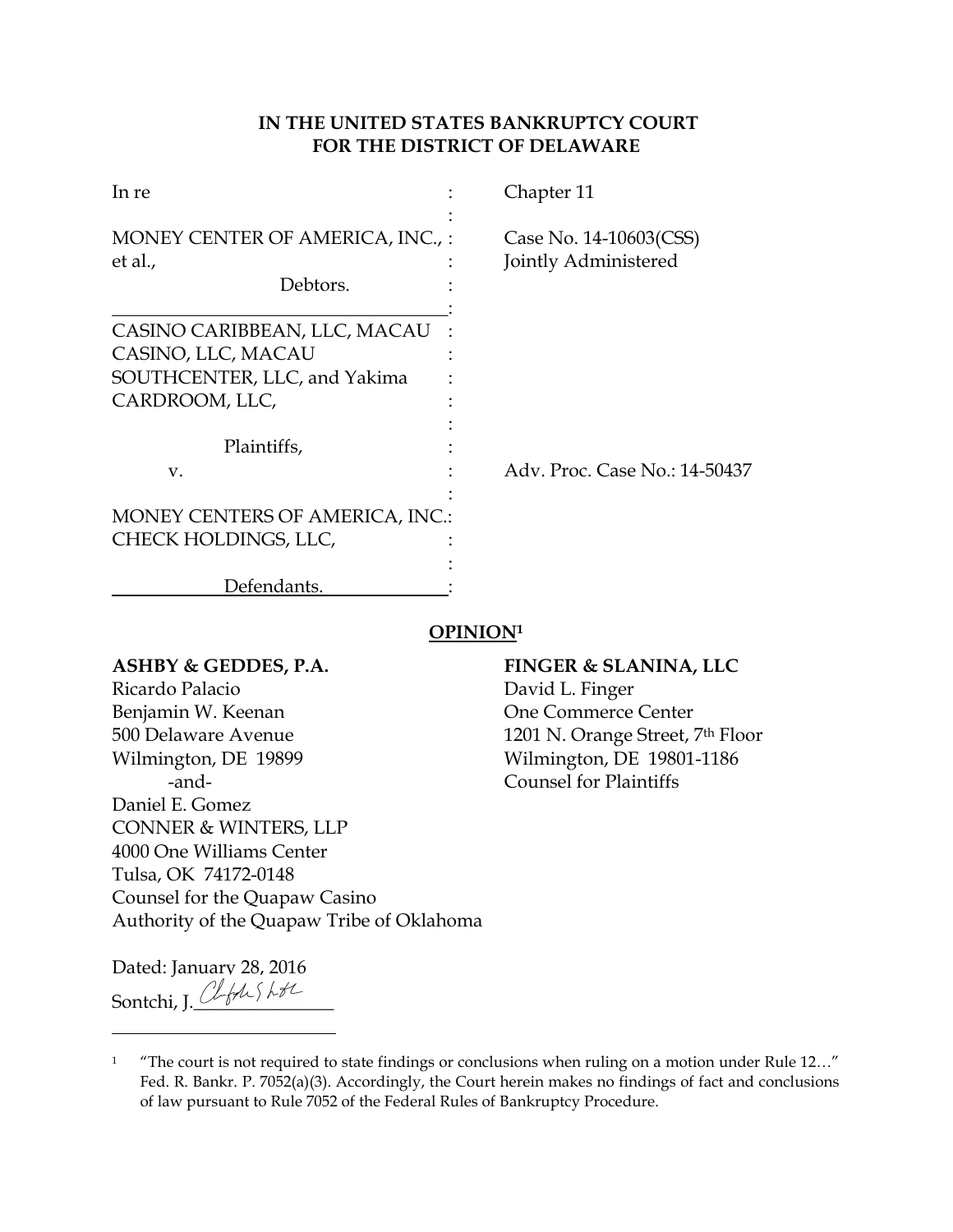# **IN THE UNITED STATES BANKRUPTCY COURT FOR THE DISTRICT OF DELAWARE**

| In re                                                                              | Chapter 11                                     |
|------------------------------------------------------------------------------------|------------------------------------------------|
| MONEY CENTER OF AMERICA, INC.,:<br>et al.,                                         | Case No. 14-10603(CSS)<br>Jointly Administered |
| Debtors.                                                                           |                                                |
| CASINO CARIBBEAN, LLC, MACAU<br>CASINO, LLC, MACAU<br>SOUTHCENTER, LLC, and Yakima |                                                |
| CARDROOM, LLC,                                                                     |                                                |
| Plaintiffs,<br>V.                                                                  | Adv. Proc. Case No.: 14-50437                  |
| <b>MONEY CENTERS OF AMERICA, INC.:</b>                                             |                                                |
| CHECK HOLDINGS, LLC,                                                               |                                                |
| Defendants.                                                                        |                                                |

# **OPINION<sup>1</sup>**

**ASHBY & GEDDES, P.A. FINGER & SLANINA, LLC** Ricardo Palacio **David L. Finger** Benjamin W. Keenan One Commerce Center 500 Delaware Avenue 1201 N. Orange Street, 7th Floor Wilmington, DE 19899 Wilmington, DE 19801-1186 -and- Counsel for Plaintiffs Daniel E. Gomez CONNER & WINTERS, LLP 4000 One Williams Center Tulsa, OK 74172-0148 Counsel for the Quapaw Casino Authority of the Quapaw Tribe of Oklahoma

Dated: January 28, 2016 Sontchi, J. Cleft Shte

<sup>&</sup>lt;sup>1</sup> "The court is not required to state findings or conclusions when ruling on a motion under Rule 12..." Fed. R. Bankr. P. 7052(a)(3). Accordingly, the Court herein makes no findings of fact and conclusions of law pursuant to Rule 7052 of the Federal Rules of Bankruptcy Procedure.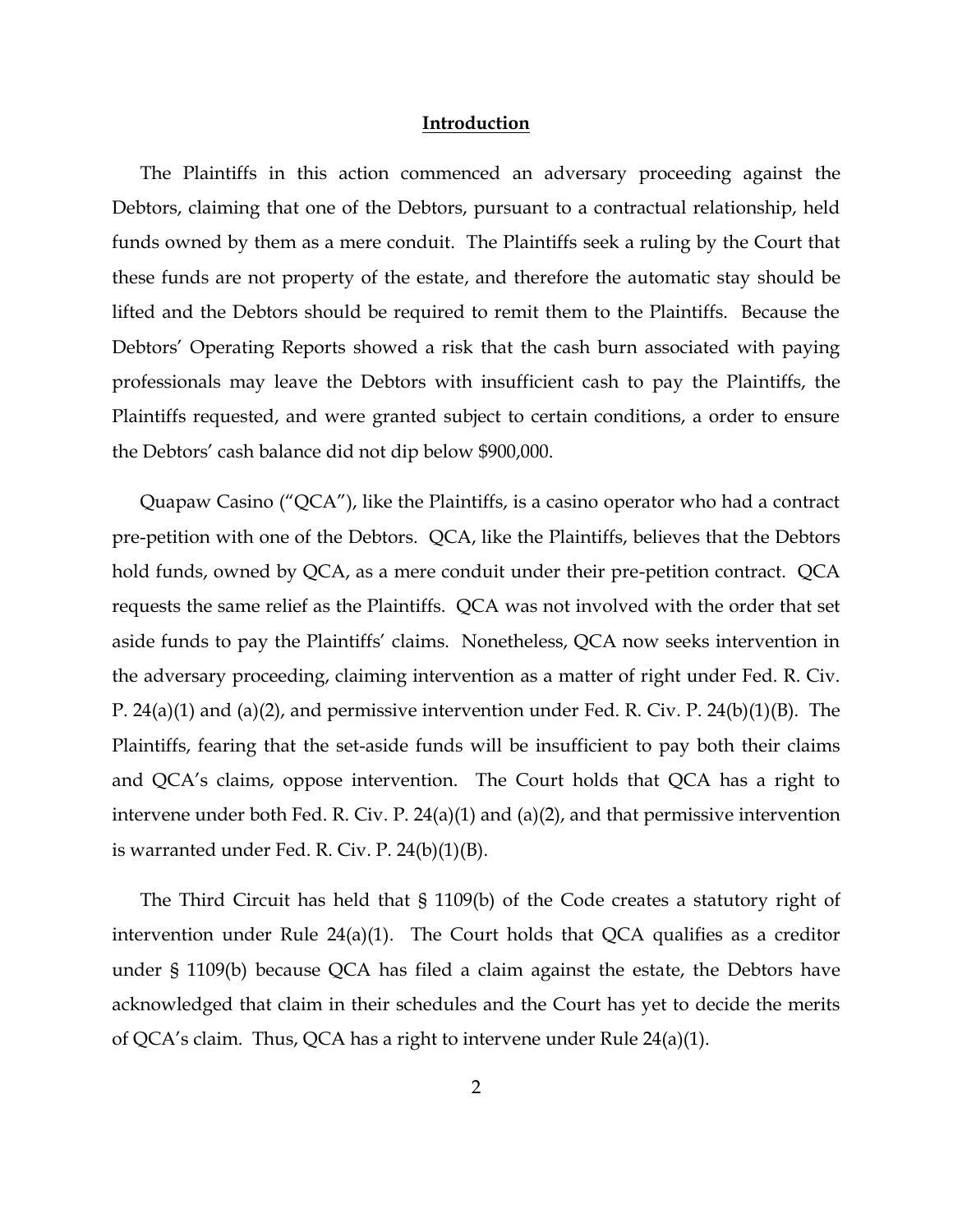#### **Introduction**

The Plaintiffs in this action commenced an adversary proceeding against the Debtors, claiming that one of the Debtors, pursuant to a contractual relationship, held funds owned by them as a mere conduit. The Plaintiffs seek a ruling by the Court that these funds are not property of the estate, and therefore the automatic stay should be lifted and the Debtors should be required to remit them to the Plaintiffs. Because the Debtors' Operating Reports showed a risk that the cash burn associated with paying professionals may leave the Debtors with insufficient cash to pay the Plaintiffs, the Plaintiffs requested, and were granted subject to certain conditions, a order to ensure the Debtors' cash balance did not dip below \$900,000.

Quapaw Casino ("QCA"), like the Plaintiffs, is a casino operator who had a contract pre-petition with one of the Debtors. QCA, like the Plaintiffs, believes that the Debtors hold funds, owned by QCA, as a mere conduit under their pre-petition contract. QCA requests the same relief as the Plaintiffs. QCA was not involved with the order that set aside funds to pay the Plaintiffs' claims. Nonetheless, QCA now seeks intervention in the adversary proceeding, claiming intervention as a matter of right under Fed. R. Civ. P. 24(a)(1) and (a)(2), and permissive intervention under Fed. R. Civ. P. 24(b)(1)(B). The Plaintiffs, fearing that the set-aside funds will be insufficient to pay both their claims and QCA's claims, oppose intervention. The Court holds that QCA has a right to intervene under both Fed. R. Civ. P. 24(a)(1) and (a)(2), and that permissive intervention is warranted under Fed. R. Civ. P. 24(b)(1)(B).

The Third Circuit has held that § 1109(b) of the Code creates a statutory right of intervention under Rule 24(a)(1). The Court holds that QCA qualifies as a creditor under § 1109(b) because QCA has filed a claim against the estate, the Debtors have acknowledged that claim in their schedules and the Court has yet to decide the merits of QCA's claim. Thus, QCA has a right to intervene under Rule 24(a)(1).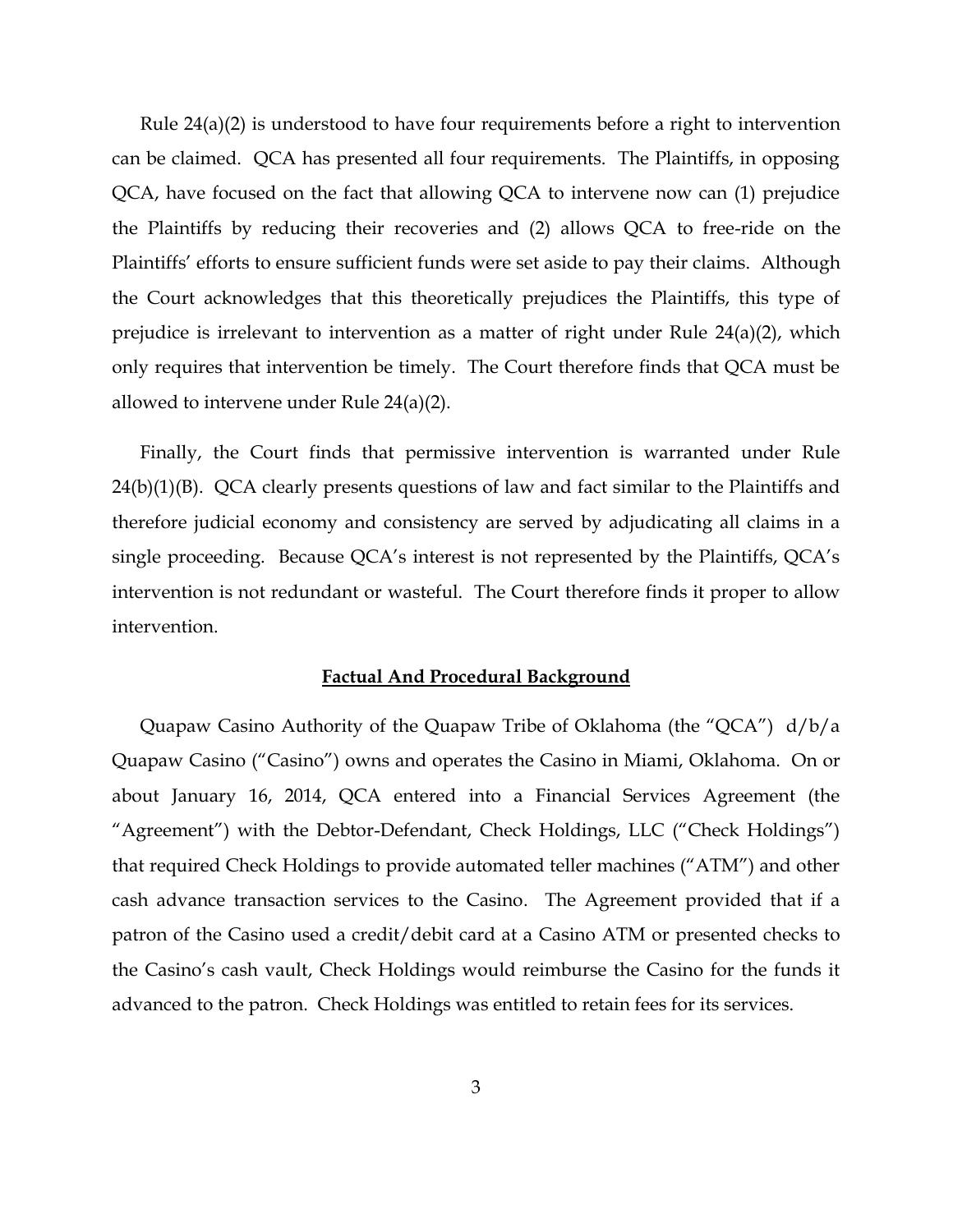Rule 24(a)(2) is understood to have four requirements before a right to intervention can be claimed. QCA has presented all four requirements. The Plaintiffs, in opposing QCA, have focused on the fact that allowing QCA to intervene now can (1) prejudice the Plaintiffs by reducing their recoveries and (2) allows QCA to free-ride on the Plaintiffs' efforts to ensure sufficient funds were set aside to pay their claims. Although the Court acknowledges that this theoretically prejudices the Plaintiffs, this type of prejudice is irrelevant to intervention as a matter of right under Rule 24(a)(2), which only requires that intervention be timely. The Court therefore finds that QCA must be allowed to intervene under Rule 24(a)(2).

Finally, the Court finds that permissive intervention is warranted under Rule 24(b)(1)(B). QCA clearly presents questions of law and fact similar to the Plaintiffs and therefore judicial economy and consistency are served by adjudicating all claims in a single proceeding. Because QCA's interest is not represented by the Plaintiffs, QCA's intervention is not redundant or wasteful. The Court therefore finds it proper to allow intervention.

#### **Factual And Procedural Background**

Quapaw Casino Authority of the Quapaw Tribe of Oklahoma (the "QCA") d/b/a Quapaw Casino ("Casino") owns and operates the Casino in Miami, Oklahoma. On or about January 16, 2014, QCA entered into a Financial Services Agreement (the "Agreement") with the Debtor-Defendant, Check Holdings, LLC ("Check Holdings") that required Check Holdings to provide automated teller machines ("ATM") and other cash advance transaction services to the Casino. The Agreement provided that if a patron of the Casino used a credit/debit card at a Casino ATM or presented checks to the Casino's cash vault, Check Holdings would reimburse the Casino for the funds it advanced to the patron. Check Holdings was entitled to retain fees for its services.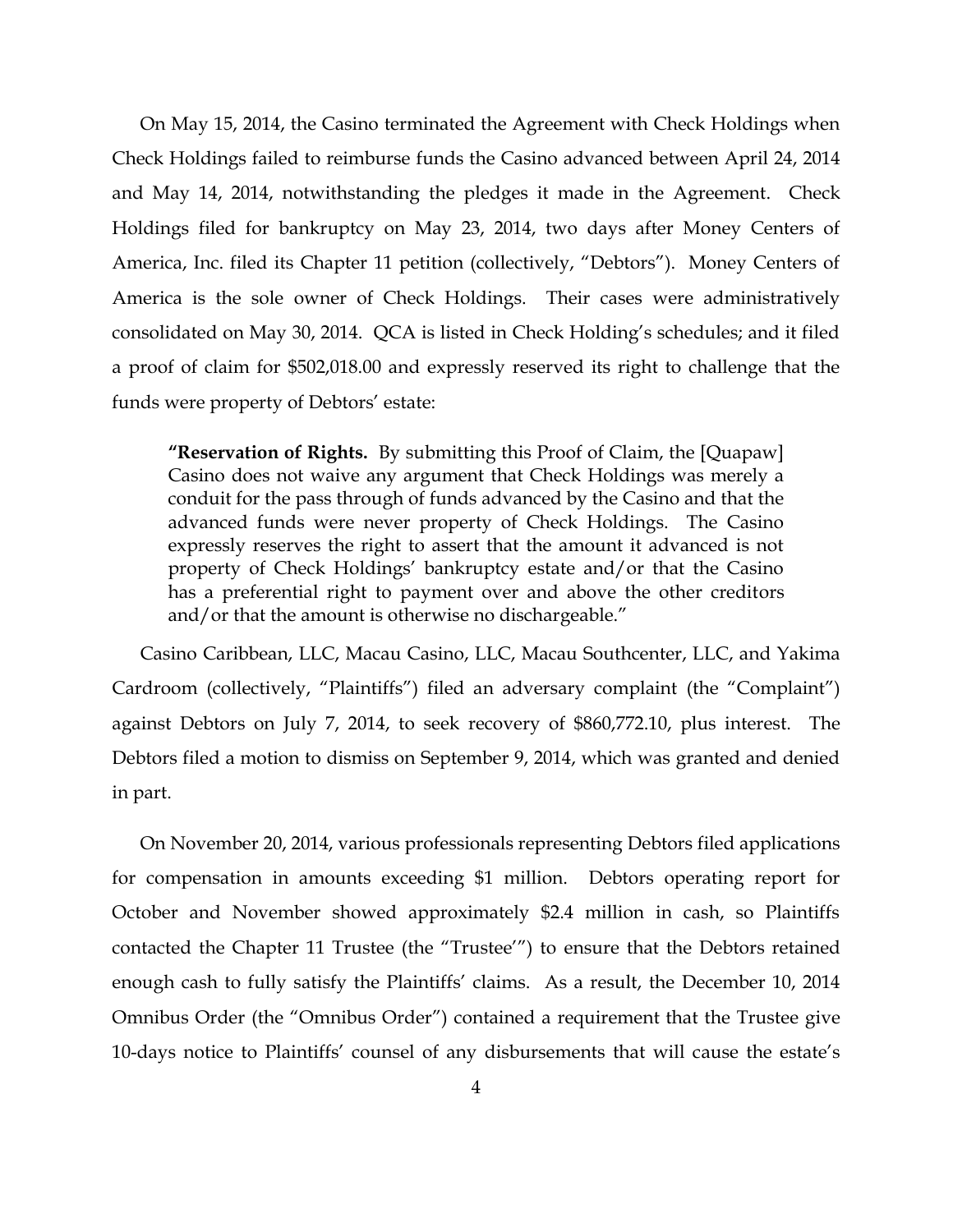On May 15, 2014, the Casino terminated the Agreement with Check Holdings when Check Holdings failed to reimburse funds the Casino advanced between April 24, 2014 and May 14, 2014, notwithstanding the pledges it made in the Agreement. Check Holdings filed for bankruptcy on May 23, 2014, two days after Money Centers of America, Inc. filed its Chapter 11 petition (collectively, "Debtors"). Money Centers of America is the sole owner of Check Holdings. Their cases were administratively consolidated on May 30, 2014. QCA is listed in Check Holding's schedules; and it filed a proof of claim for \$502,018.00 and expressly reserved its right to challenge that the funds were property of Debtors' estate:

**"Reservation of Rights.** By submitting this Proof of Claim, the [Quapaw] Casino does not waive any argument that Check Holdings was merely a conduit for the pass through of funds advanced by the Casino and that the advanced funds were never property of Check Holdings. The Casino expressly reserves the right to assert that the amount it advanced is not property of Check Holdings' bankruptcy estate and/or that the Casino has a preferential right to payment over and above the other creditors and/or that the amount is otherwise no dischargeable."

Casino Caribbean, LLC, Macau Casino, LLC, Macau Southcenter, LLC, and Yakima Cardroom (collectively, "Plaintiffs") filed an adversary complaint (the "Complaint") against Debtors on July 7, 2014, to seek recovery of \$860,772.10, plus interest. The Debtors filed a motion to dismiss on September 9, 2014, which was granted and denied in part.

On November 20, 2014, various professionals representing Debtors filed applications for compensation in amounts exceeding \$1 million. Debtors operating report for October and November showed approximately \$2.4 million in cash, so Plaintiffs contacted the Chapter 11 Trustee (the "Trustee'") to ensure that the Debtors retained enough cash to fully satisfy the Plaintiffs' claims. As a result, the December 10, 2014 Omnibus Order (the "Omnibus Order") contained a requirement that the Trustee give 10-days notice to Plaintiffs' counsel of any disbursements that will cause the estate's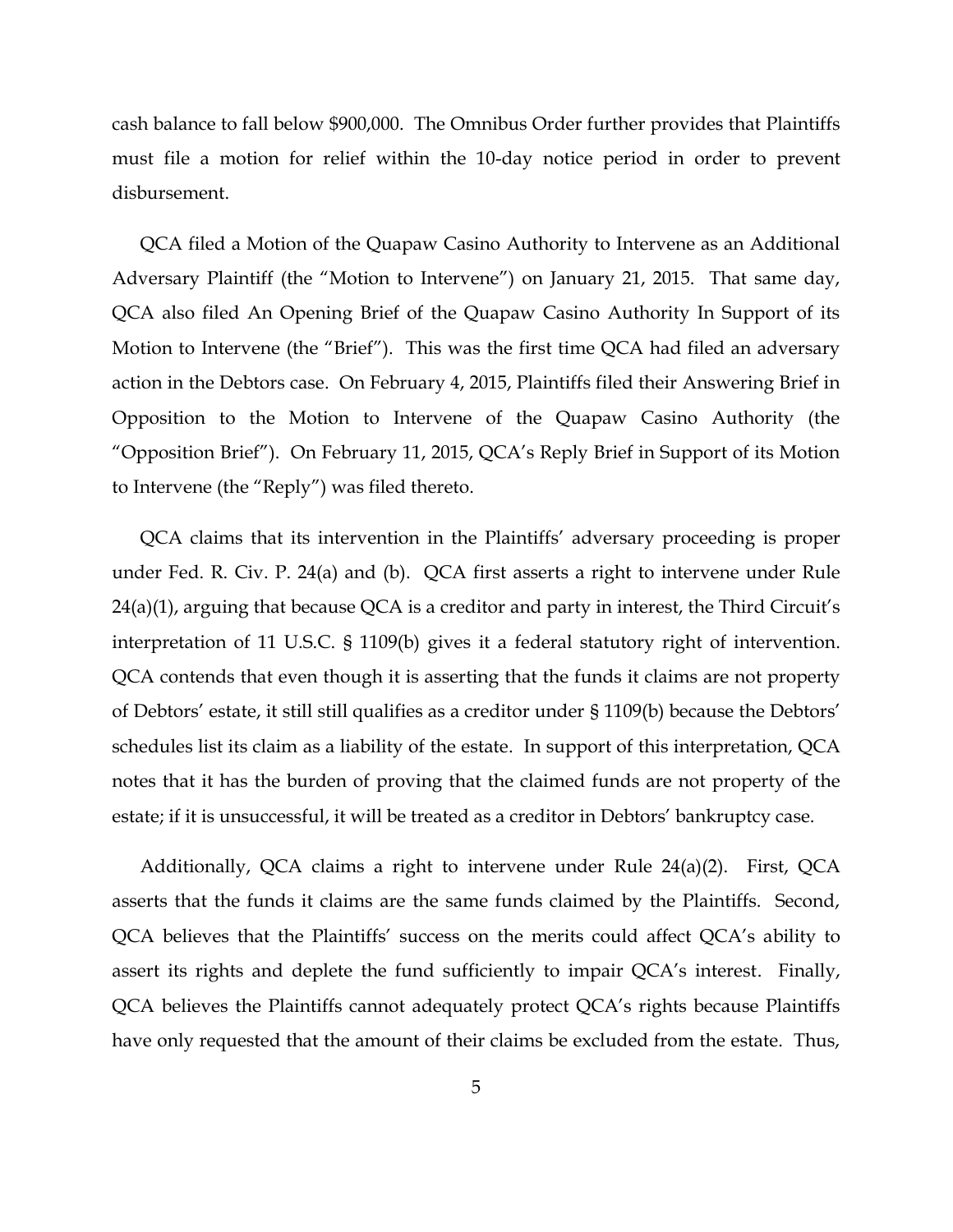cash balance to fall below \$900,000. The Omnibus Order further provides that Plaintiffs must file a motion for relief within the 10-day notice period in order to prevent disbursement.

QCA filed a Motion of the Quapaw Casino Authority to Intervene as an Additional Adversary Plaintiff (the "Motion to Intervene") on January 21, 2015. That same day, QCA also filed An Opening Brief of the Quapaw Casino Authority In Support of its Motion to Intervene (the "Brief"). This was the first time QCA had filed an adversary action in the Debtors case. On February 4, 2015, Plaintiffs filed their Answering Brief in Opposition to the Motion to Intervene of the Quapaw Casino Authority (the "Opposition Brief"). On February 11, 2015, QCA's Reply Brief in Support of its Motion to Intervene (the "Reply") was filed thereto.

QCA claims that its intervention in the Plaintiffs' adversary proceeding is proper under Fed. R. Civ. P. 24(a) and (b). QCA first asserts a right to intervene under Rule 24(a)(1), arguing that because QCA is a creditor and party in interest, the Third Circuit's interpretation of 11 U.S.C. § 1109(b) gives it a federal statutory right of intervention. QCA contends that even though it is asserting that the funds it claims are not property of Debtors' estate, it still still qualifies as a creditor under § 1109(b) because the Debtors' schedules list its claim as a liability of the estate. In support of this interpretation, QCA notes that it has the burden of proving that the claimed funds are not property of the estate; if it is unsuccessful, it will be treated as a creditor in Debtors' bankruptcy case.

Additionally, QCA claims a right to intervene under Rule 24(a)(2). First, QCA asserts that the funds it claims are the same funds claimed by the Plaintiffs. Second, QCA believes that the Plaintiffs' success on the merits could affect QCA's ability to assert its rights and deplete the fund sufficiently to impair QCA's interest. Finally, QCA believes the Plaintiffs cannot adequately protect QCA's rights because Plaintiffs have only requested that the amount of their claims be excluded from the estate. Thus,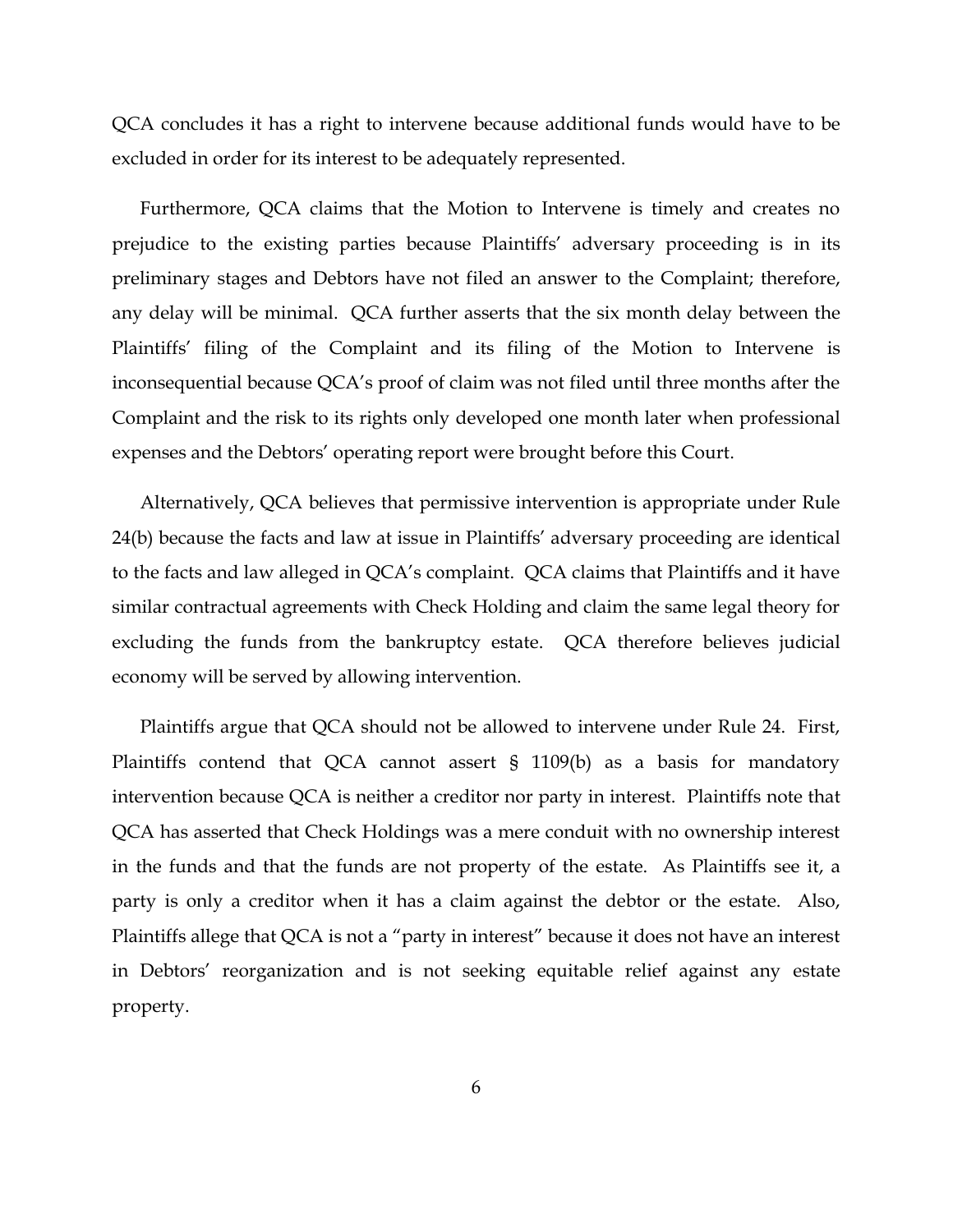QCA concludes it has a right to intervene because additional funds would have to be excluded in order for its interest to be adequately represented.

Furthermore, QCA claims that the Motion to Intervene is timely and creates no prejudice to the existing parties because Plaintiffs' adversary proceeding is in its preliminary stages and Debtors have not filed an answer to the Complaint; therefore, any delay will be minimal. QCA further asserts that the six month delay between the Plaintiffs' filing of the Complaint and its filing of the Motion to Intervene is inconsequential because QCA's proof of claim was not filed until three months after the Complaint and the risk to its rights only developed one month later when professional expenses and the Debtors' operating report were brought before this Court.

Alternatively, QCA believes that permissive intervention is appropriate under Rule 24(b) because the facts and law at issue in Plaintiffs' adversary proceeding are identical to the facts and law alleged in QCA's complaint. QCA claims that Plaintiffs and it have similar contractual agreements with Check Holding and claim the same legal theory for excluding the funds from the bankruptcy estate. QCA therefore believes judicial economy will be served by allowing intervention.

Plaintiffs argue that QCA should not be allowed to intervene under Rule 24. First, Plaintiffs contend that QCA cannot assert § 1109(b) as a basis for mandatory intervention because QCA is neither a creditor nor party in interest. Plaintiffs note that QCA has asserted that Check Holdings was a mere conduit with no ownership interest in the funds and that the funds are not property of the estate. As Plaintiffs see it, a party is only a creditor when it has a claim against the debtor or the estate. Also, Plaintiffs allege that QCA is not a "party in interest" because it does not have an interest in Debtors' reorganization and is not seeking equitable relief against any estate property.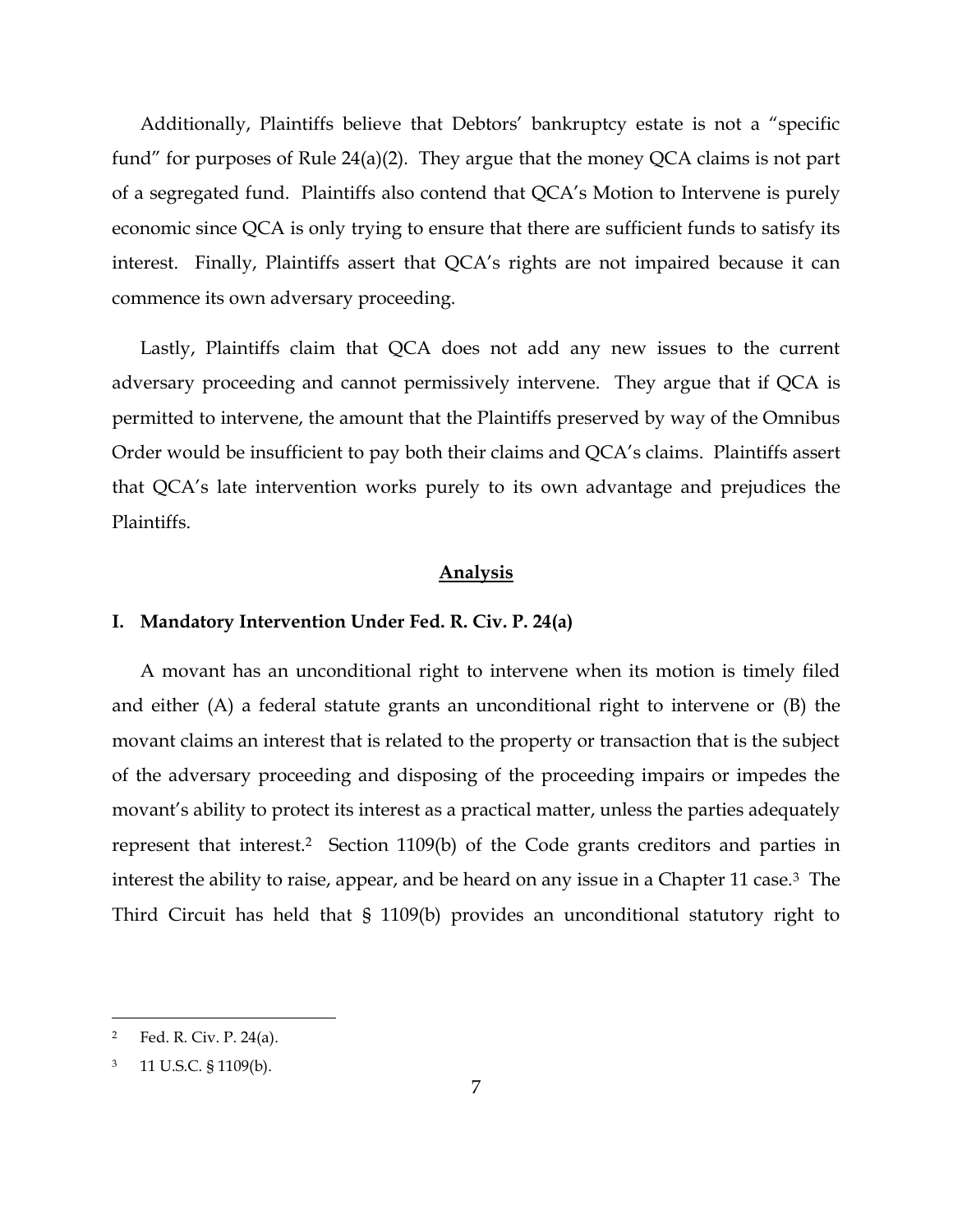Additionally, Plaintiffs believe that Debtors' bankruptcy estate is not a "specific fund" for purposes of Rule 24(a)(2). They argue that the money QCA claims is not part of a segregated fund. Plaintiffs also contend that QCA's Motion to Intervene is purely economic since QCA is only trying to ensure that there are sufficient funds to satisfy its interest. Finally, Plaintiffs assert that QCA's rights are not impaired because it can commence its own adversary proceeding.

Lastly, Plaintiffs claim that QCA does not add any new issues to the current adversary proceeding and cannot permissively intervene. They argue that if QCA is permitted to intervene, the amount that the Plaintiffs preserved by way of the Omnibus Order would be insufficient to pay both their claims and QCA's claims. Plaintiffs assert that QCA's late intervention works purely to its own advantage and prejudices the Plaintiffs.

# **Analysis**

# **I. Mandatory Intervention Under Fed. R. Civ. P. 24(a)**

A movant has an unconditional right to intervene when its motion is timely filed and either (A) a federal statute grants an unconditional right to intervene or (B) the movant claims an interest that is related to the property or transaction that is the subject of the adversary proceeding and disposing of the proceeding impairs or impedes the movant's ability to protect its interest as a practical matter, unless the parties adequately represent that interest.2 Section 1109(b) of the Code grants creditors and parties in interest the ability to raise, appear, and be heard on any issue in a Chapter 11 case.3 The Third Circuit has held that § 1109(b) provides an unconditional statutory right to

<sup>2</sup> Fed. R. Civ. P. 24(a).

<sup>3</sup> 11 U.S.C. § 1109(b).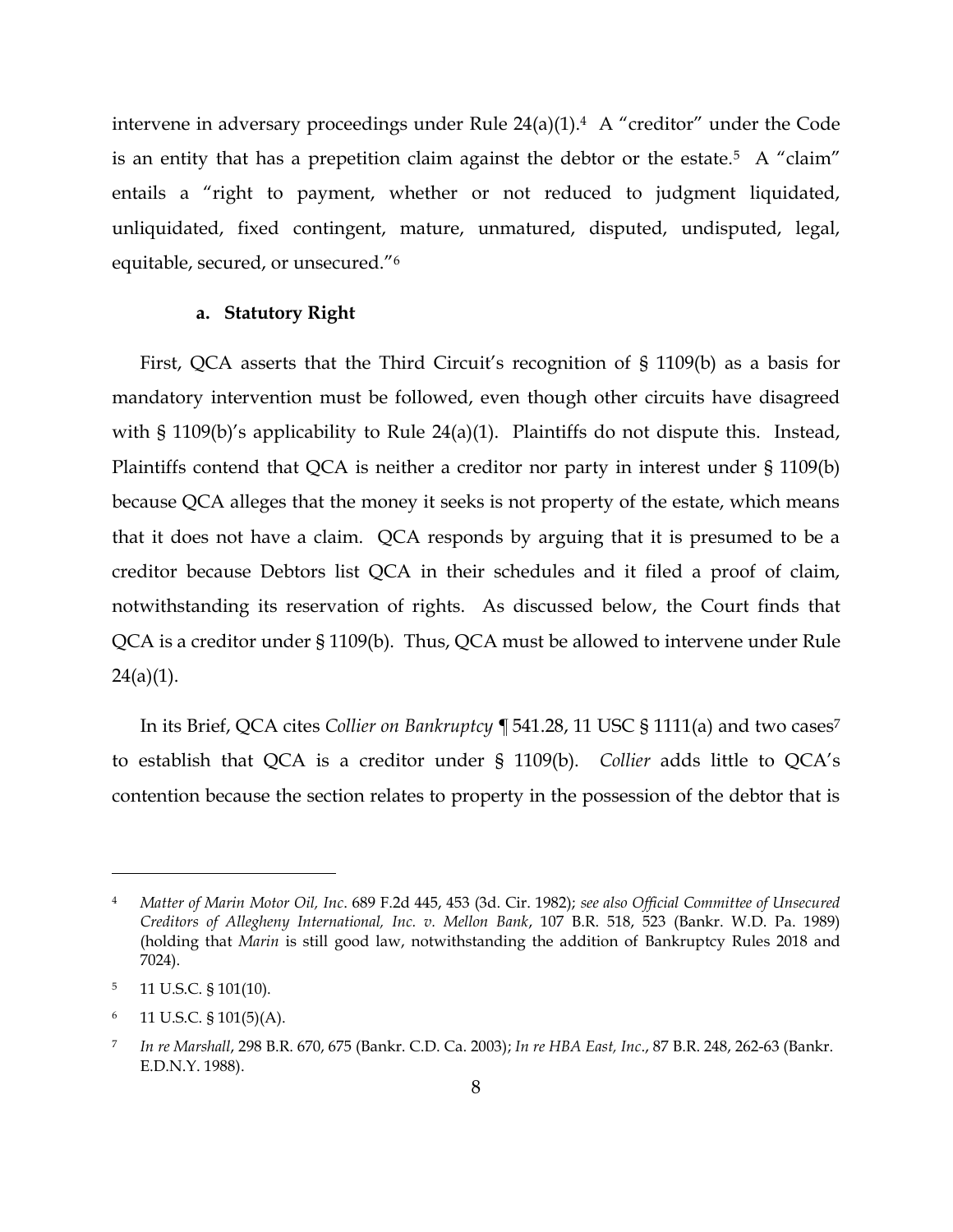intervene in adversary proceedings under Rule 24(a)(1).<sup>4</sup> A "creditor" under the Code is an entity that has a prepetition claim against the debtor or the estate.<sup>5</sup> A "claim" entails a "right to payment, whether or not reduced to judgment liquidated, unliquidated, fixed contingent, mature, unmatured, disputed, undisputed, legal, equitable, secured, or unsecured."<sup>6</sup>

#### **a. Statutory Right**

First, QCA asserts that the Third Circuit's recognition of § 1109(b) as a basis for mandatory intervention must be followed, even though other circuits have disagreed with § 1109(b)'s applicability to Rule 24(a)(1). Plaintiffs do not dispute this. Instead, Plaintiffs contend that QCA is neither a creditor nor party in interest under § 1109(b) because QCA alleges that the money it seeks is not property of the estate, which means that it does not have a claim. QCA responds by arguing that it is presumed to be a creditor because Debtors list QCA in their schedules and it filed a proof of claim, notwithstanding its reservation of rights. As discussed below, the Court finds that QCA is a creditor under § 1109(b). Thus, QCA must be allowed to intervene under Rule  $24(a)(1)$ .

In its Brief, QCA cites *Collier on Bankruptcy ¶* 541.28, 11 USC § 1111(a) and two cases<sup>7</sup> to establish that QCA is a creditor under § 1109(b). *Collier* adds little to QCA's contention because the section relates to property in the possession of the debtor that is

<sup>4</sup> *Matter of Marin Motor Oil, Inc*. 689 F.2d 445, 453 (3d. Cir. 1982); *see also Official Committee of Unsecured Creditors of Allegheny International, Inc. v. Mellon Bank*, 107 B.R. 518, 523 (Bankr. W.D. Pa. 1989) (holding that *Marin* is still good law, notwithstanding the addition of Bankruptcy Rules 2018 and 7024).

<sup>5</sup> 11 U.S.C. § 101(10).

 $6$  11 U.S.C. § 101(5)(A).

<sup>7</sup> *In re Marshall*, 298 B.R. 670, 675 (Bankr. C.D. Ca. 2003); *In re HBA East, Inc*., 87 B.R. 248, 262-63 (Bankr. E.D.N.Y. 1988).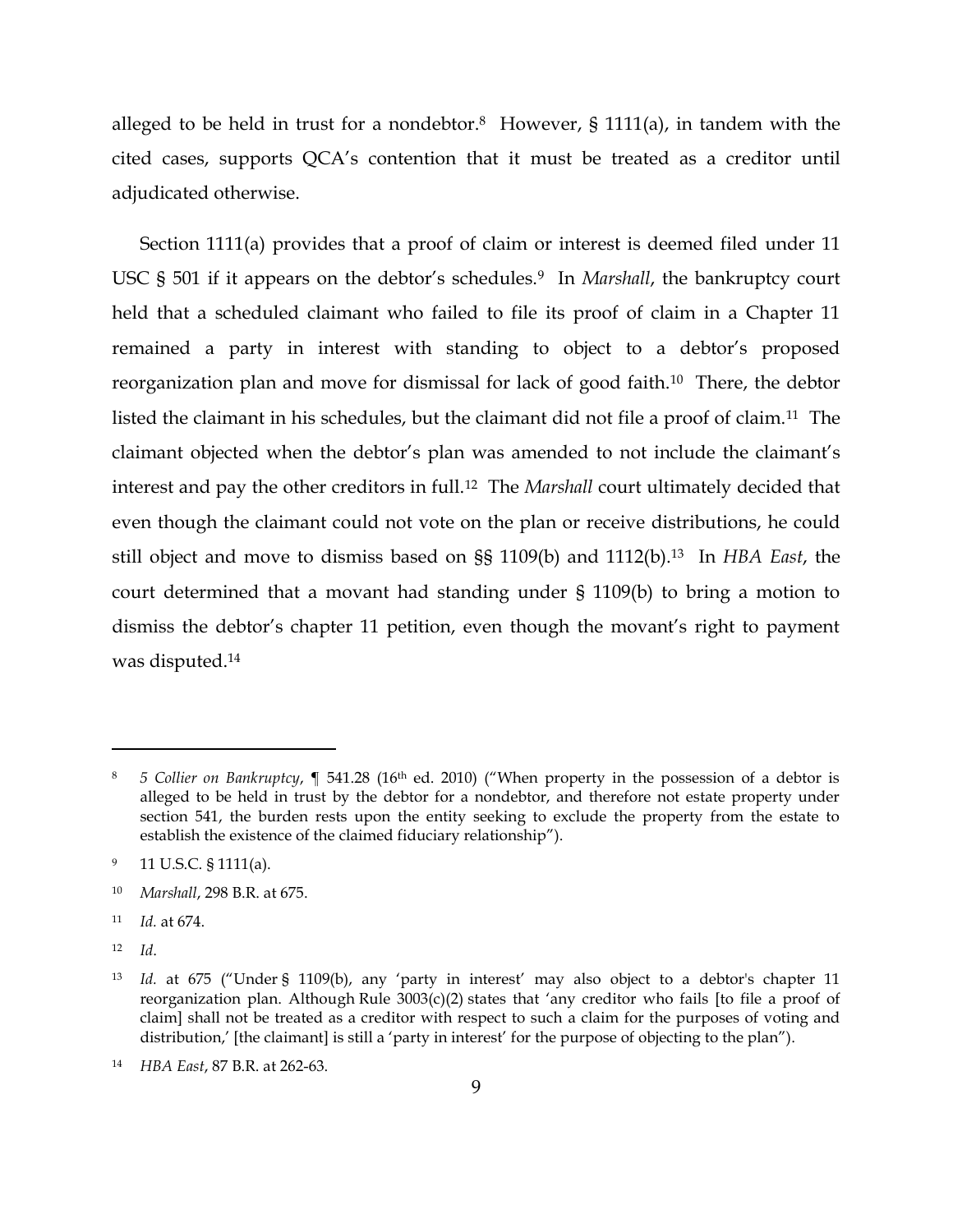alleged to be held in trust for a nondebtor.<sup>8</sup> However, § 1111(a), in tandem with the cited cases, supports QCA's contention that it must be treated as a creditor until adjudicated otherwise.

Section 1111(a) provides that a proof of claim or interest is deemed filed under 11 USC § 501 if it appears on the debtor's schedules.9 In *Marshall*, the bankruptcy court held that a scheduled claimant who failed to file its proof of claim in a Chapter 11 remained a party in interest with standing to object to a debtor's proposed reorganization plan and move for dismissal for lack of good faith.10 There, the debtor listed the claimant in his schedules, but the claimant did not file a proof of claim.11 The claimant objected when the debtor's plan was amended to not include the claimant's interest and pay the other creditors in full.12 The *Marshall* court ultimately decided that even though the claimant could not vote on the plan or receive distributions, he could still object and move to dismiss based on §§ 1109(b) and 1112(b).13 In *HBA East*, the court determined that a movant had standing under § 1109(b) to bring a motion to dismiss the debtor's chapter 11 petition, even though the movant's right to payment was disputed.<sup>14</sup>

<sup>8</sup> *5 Collier on Bankruptcy*, ¶ 541.28 (16th ed. 2010) ("When property in the possession of a debtor is alleged to be held in trust by the debtor for a nondebtor, and therefore not estate property under section 541, the burden rests upon the entity seeking to exclude the property from the estate to establish the existence of the claimed fiduciary relationship").

<sup>&</sup>lt;sup>9</sup> 11 U.S.C. § 1111(a).

<sup>10</sup> *Marshall*, 298 B.R. at 675.

<sup>11</sup> *Id.* at 674.

<sup>12</sup> *Id*.

<sup>13</sup> *Id.* at 675 ("Under § 1109(b), any 'party in interest' may also object to a debtor's chapter 11 reorganization plan. Although Rule 3003(c)(2) states that 'any creditor who fails [to file a proof of claim] shall not be treated as a creditor with respect to such a claim for the purposes of voting and distribution,' [the claimant] is still a 'party in interest' for the purpose of objecting to the plan").

<sup>14</sup> *HBA East*, 87 B.R. at 262-63.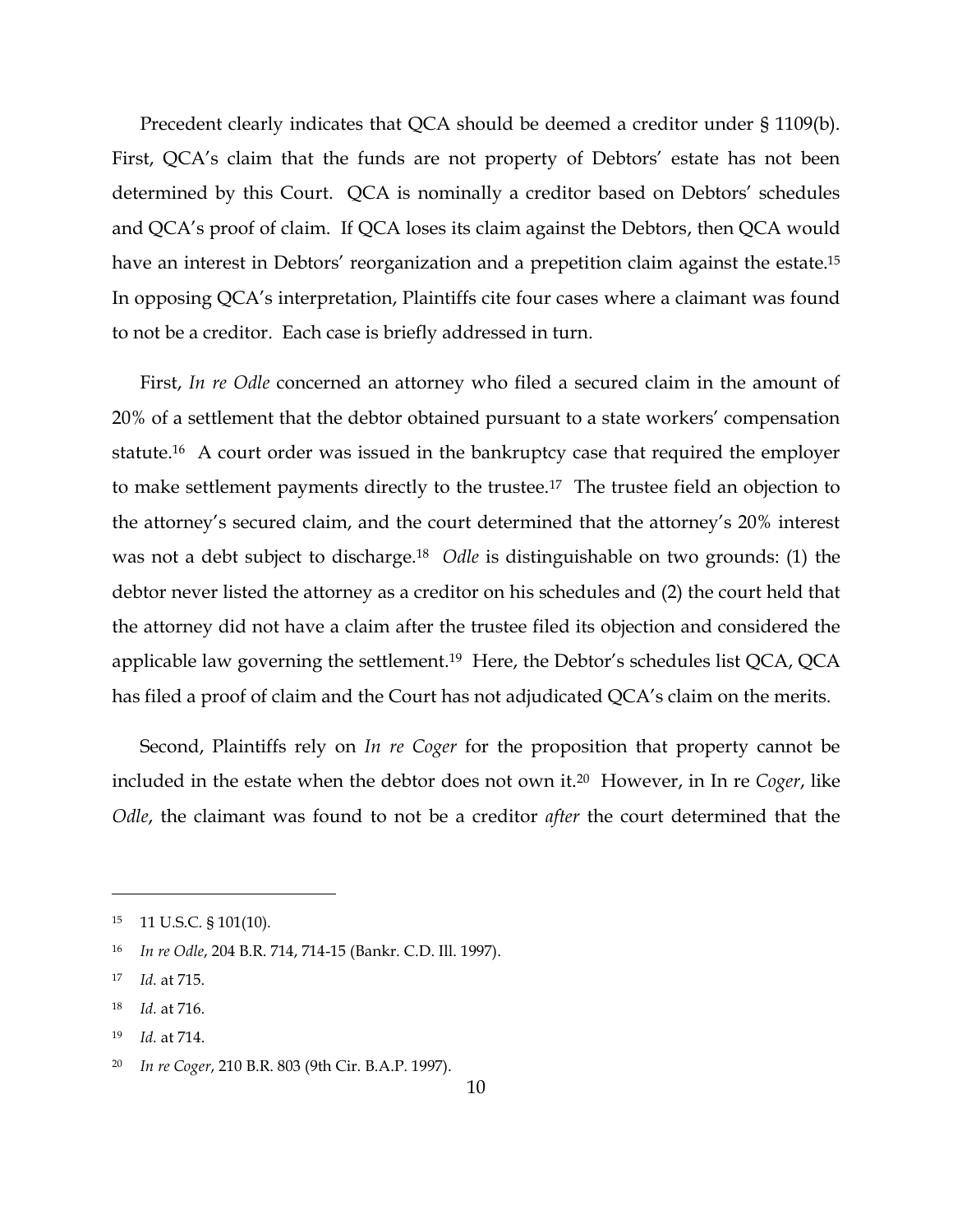Precedent clearly indicates that QCA should be deemed a creditor under § 1109(b). First, QCA's claim that the funds are not property of Debtors' estate has not been determined by this Court. QCA is nominally a creditor based on Debtors' schedules and QCA's proof of claim. If QCA loses its claim against the Debtors, then QCA would have an interest in Debtors' reorganization and a prepetition claim against the estate.<sup>15</sup> In opposing QCA's interpretation, Plaintiffs cite four cases where a claimant was found to not be a creditor. Each case is briefly addressed in turn.

First, *In re Odle* concerned an attorney who filed a secured claim in the amount of 20% of a settlement that the debtor obtained pursuant to a state workers' compensation statute.16 A court order was issued in the bankruptcy case that required the employer to make settlement payments directly to the trustee.17 The trustee field an objection to the attorney's secured claim, and the court determined that the attorney's 20% interest was not a debt subject to discharge.<sup>18</sup> *Odle* is distinguishable on two grounds: (1) the debtor never listed the attorney as a creditor on his schedules and (2) the court held that the attorney did not have a claim after the trustee filed its objection and considered the applicable law governing the settlement.<sup>19</sup> Here, the Debtor's schedules list QCA, QCA has filed a proof of claim and the Court has not adjudicated QCA's claim on the merits.

Second, Plaintiffs rely on *In re Coger* for the proposition that property cannot be included in the estate when the debtor does not own it.20 However, in In re *Coger*, like *Odle*, the claimant was found to not be a creditor *after* the court determined that the

 $\overline{a}$ 

<sup>19</sup> *Id.* at 714.

<sup>15</sup> 11 U.S.C. § 101(10).

<sup>16</sup> *In re Odle*, 204 B.R. 714, 714-15 (Bankr. C.D. Ill. 1997).

<sup>17</sup> *Id.* at 715.

<sup>18</sup> *Id.* at 716.

<sup>20</sup> *In re Coger*, 210 B.R. 803 (9th Cir. B.A.P. 1997).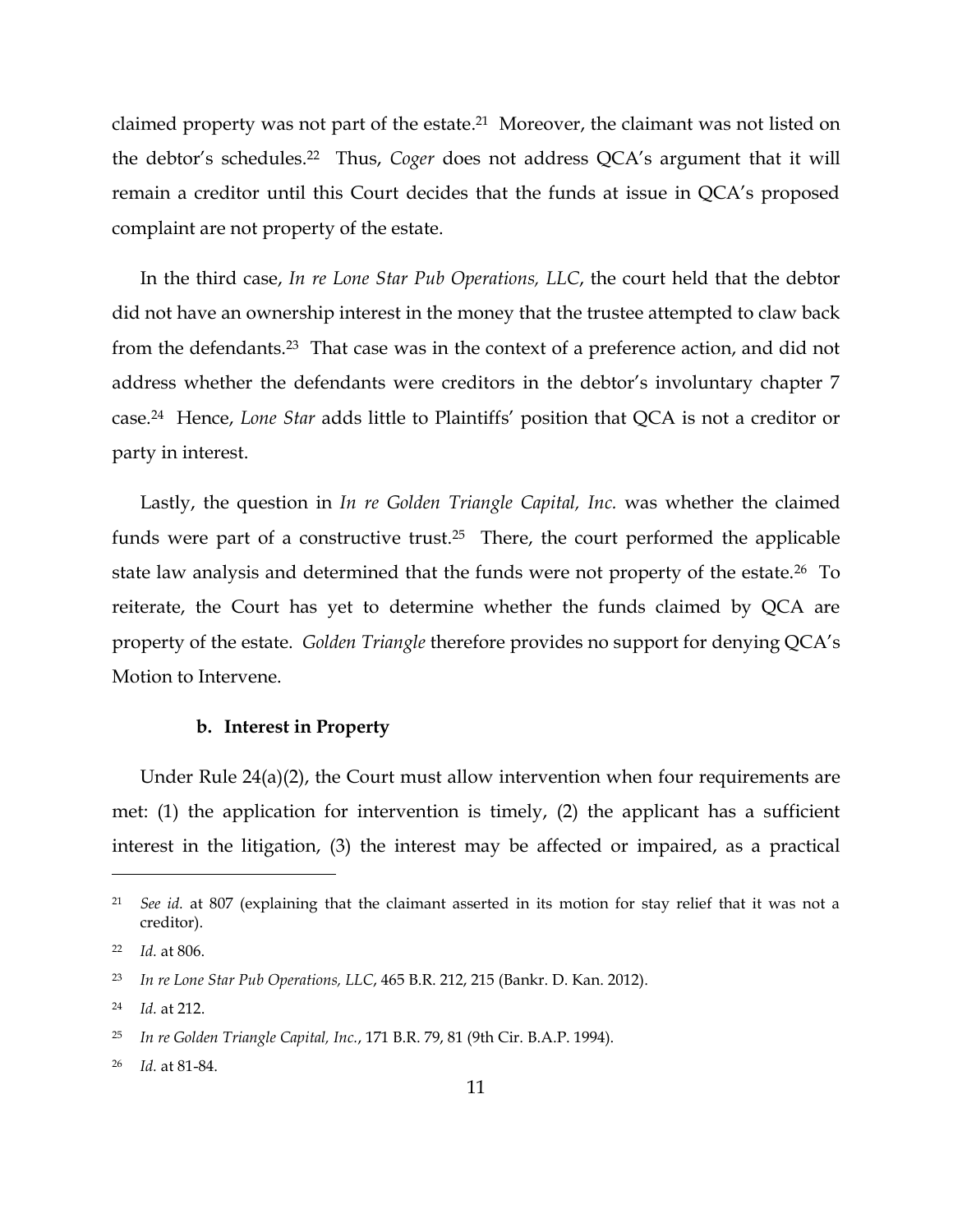claimed property was not part of the estate. 21 Moreover, the claimant was not listed on the debtor's schedules.22 Thus, *Coger* does not address QCA's argument that it will remain a creditor until this Court decides that the funds at issue in QCA's proposed complaint are not property of the estate.

In the third case, *In re Lone Star Pub Operations, LLC*, the court held that the debtor did not have an ownership interest in the money that the trustee attempted to claw back from the defendants.23 That case was in the context of a preference action, and did not address whether the defendants were creditors in the debtor's involuntary chapter 7 case.24 Hence, *Lone Star* adds little to Plaintiffs' position that QCA is not a creditor or party in interest.

Lastly, the question in *In re Golden Triangle Capital, Inc.* was whether the claimed funds were part of a constructive trust.<sup>25</sup> There, the court performed the applicable state law analysis and determined that the funds were not property of the estate.26 To reiterate, the Court has yet to determine whether the funds claimed by QCA are property of the estate. *Golden Triangle* therefore provides no support for denying QCA's Motion to Intervene.

### **b. Interest in Property**

Under Rule 24(a)(2), the Court must allow intervention when four requirements are met: (1) the application for intervention is timely, (2) the applicant has a sufficient interest in the litigation, (3) the interest may be affected or impaired, as a practical

<sup>21</sup> *See id.* at 807 (explaining that the claimant asserted in its motion for stay relief that it was not a creditor).

<sup>22</sup> *Id.* at 806.

<sup>23</sup> *In re Lone Star Pub Operations, LLC*, 465 B.R. 212, 215 (Bankr. D. Kan. 2012).

<sup>24</sup> *Id.* at 212.

<sup>25</sup> *In re Golden Triangle Capital, Inc.*, 171 B.R. 79, 81 (9th Cir. B.A.P. 1994).

<sup>26</sup> *Id.* at 81-84.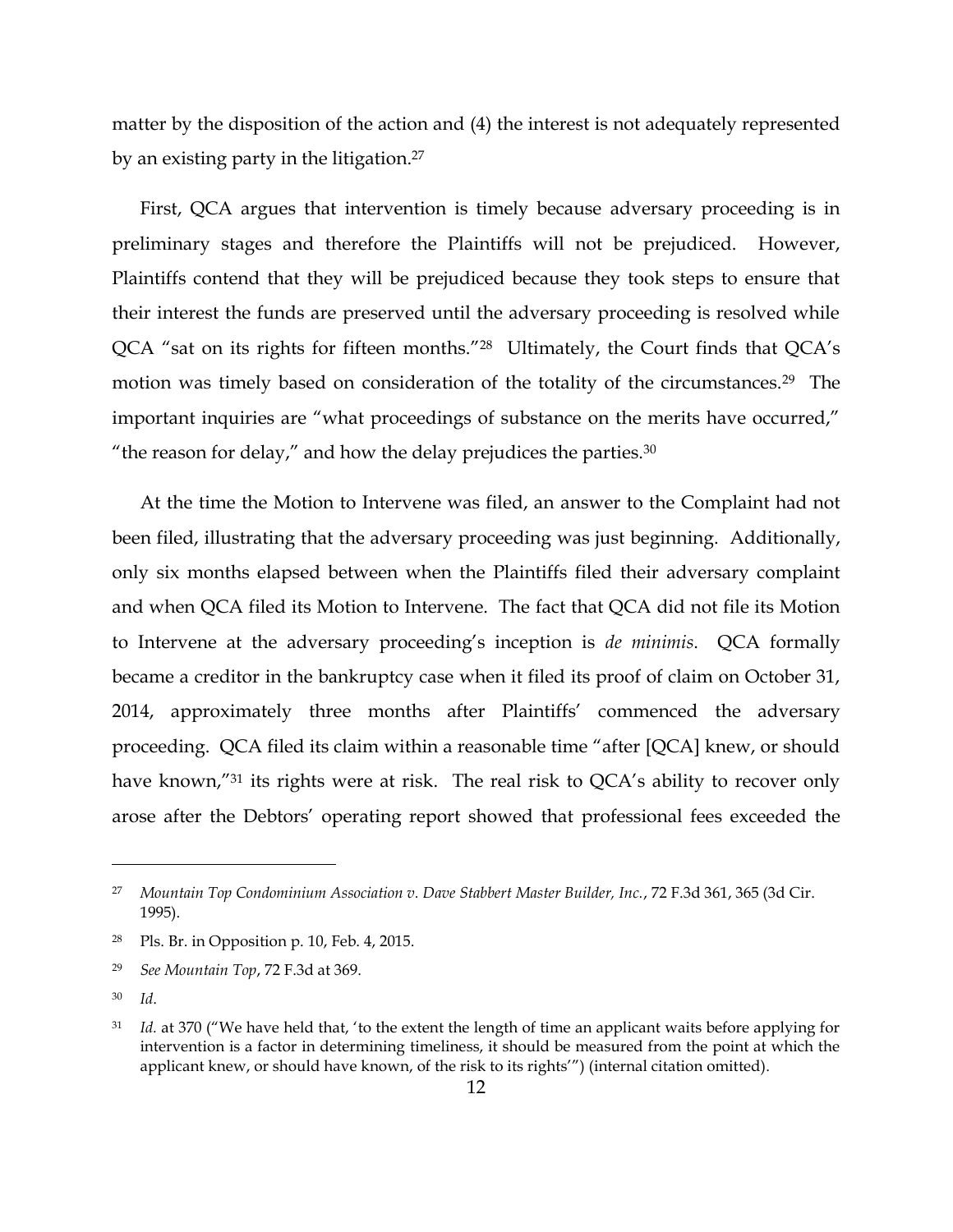matter by the disposition of the action and (4) the interest is not adequately represented by an existing party in the litigation.<sup>27</sup>

First, QCA argues that intervention is timely because adversary proceeding is in preliminary stages and therefore the Plaintiffs will not be prejudiced. However, Plaintiffs contend that they will be prejudiced because they took steps to ensure that their interest the funds are preserved until the adversary proceeding is resolved while QCA "sat on its rights for fifteen months."28 Ultimately, the Court finds that QCA's motion was timely based on consideration of the totality of the circumstances.<sup>29</sup> The important inquiries are "what proceedings of substance on the merits have occurred," "the reason for delay," and how the delay prejudices the parties. $30$ 

At the time the Motion to Intervene was filed, an answer to the Complaint had not been filed, illustrating that the adversary proceeding was just beginning. Additionally, only six months elapsed between when the Plaintiffs filed their adversary complaint and when QCA filed its Motion to Intervene. The fact that QCA did not file its Motion to Intervene at the adversary proceeding's inception is *de minimis*. QCA formally became a creditor in the bankruptcy case when it filed its proof of claim on October 31, 2014, approximately three months after Plaintiffs' commenced the adversary proceeding. QCA filed its claim within a reasonable time "after [QCA] knew, or should have known,<sup>"31</sup> its rights were at risk. The real risk to QCA's ability to recover only arose after the Debtors' operating report showed that professional fees exceeded the

<sup>27</sup> *Mountain Top Condominium Association v. Dave Stabbert Master Builder, Inc.*, 72 F.3d 361, 365 (3d Cir. 1995).

<sup>28</sup> Pls. Br. in Opposition p. 10, Feb. 4, 2015.

<sup>29</sup> *See Mountain Top*, 72 F.3d at 369.

<sup>30</sup> *Id*.

<sup>31</sup> *Id.* at 370 ("We have held that, 'to the extent the length of time an applicant waits before applying for intervention is a factor in determining timeliness, it should be measured from the point at which the applicant knew, or should have known, of the risk to its rights'") (internal citation omitted).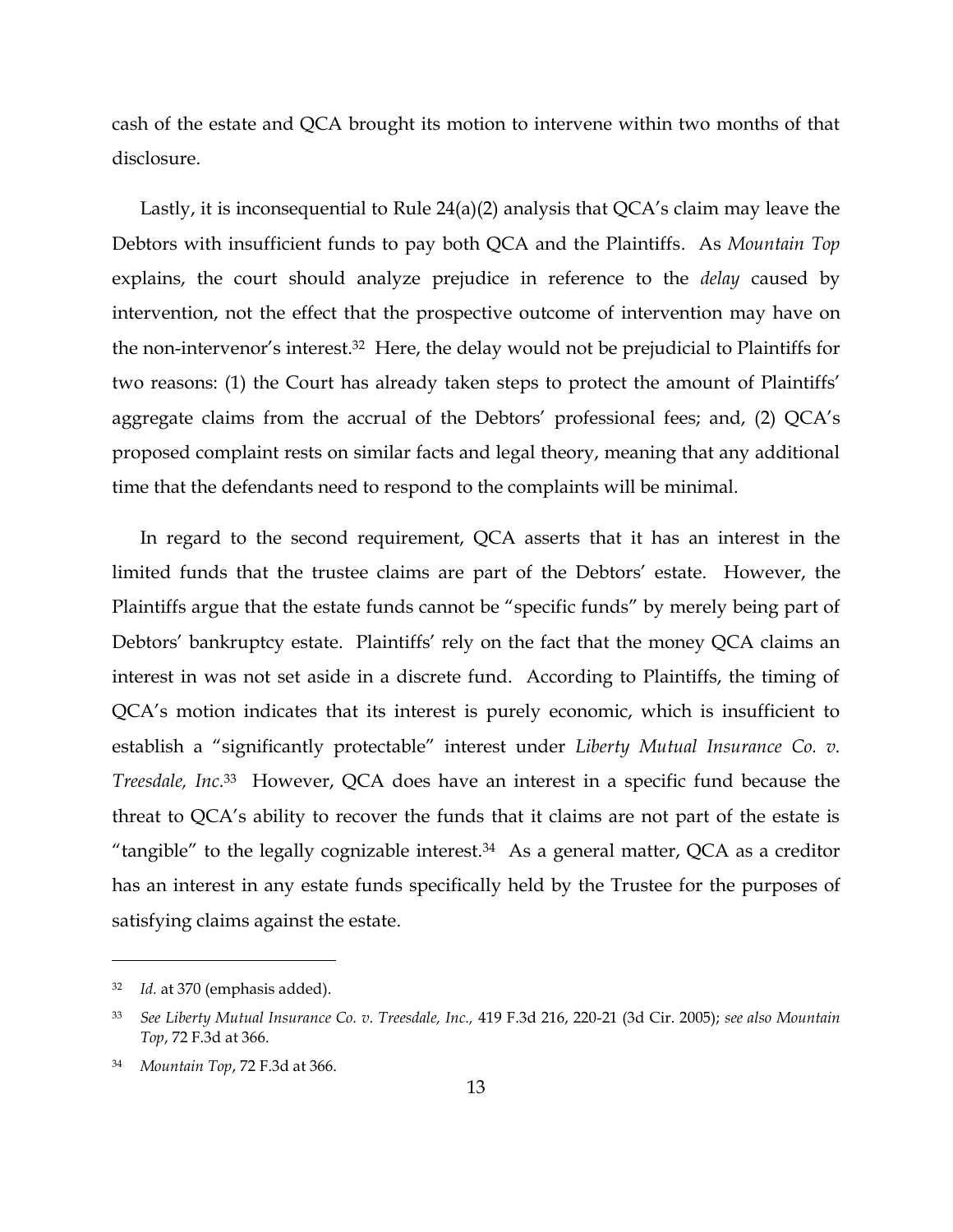cash of the estate and QCA brought its motion to intervene within two months of that disclosure.

Lastly, it is inconsequential to Rule 24(a)(2) analysis that QCA's claim may leave the Debtors with insufficient funds to pay both QCA and the Plaintiffs. As *Mountain Top* explains, the court should analyze prejudice in reference to the *delay* caused by intervention, not the effect that the prospective outcome of intervention may have on the non-intervenor's interest.32 Here, the delay would not be prejudicial to Plaintiffs for two reasons: (1) the Court has already taken steps to protect the amount of Plaintiffs' aggregate claims from the accrual of the Debtors' professional fees; and, (2) QCA's proposed complaint rests on similar facts and legal theory, meaning that any additional time that the defendants need to respond to the complaints will be minimal.

In regard to the second requirement, QCA asserts that it has an interest in the limited funds that the trustee claims are part of the Debtors' estate. However, the Plaintiffs argue that the estate funds cannot be "specific funds" by merely being part of Debtors' bankruptcy estate. Plaintiffs' rely on the fact that the money QCA claims an interest in was not set aside in a discrete fund. According to Plaintiffs, the timing of QCA's motion indicates that its interest is purely economic, which is insufficient to establish a "significantly protectable" interest under *Liberty Mutual Insurance Co. v. Treesdale, Inc.*33 However, QCA does have an interest in a specific fund because the threat to QCA's ability to recover the funds that it claims are not part of the estate is "tangible" to the legally cognizable interest.<sup>34</sup> As a general matter, QCA as a creditor has an interest in any estate funds specifically held by the Trustee for the purposes of satisfying claims against the estate.

<sup>32</sup> *Id.* at 370 (emphasis added).

<sup>33</sup> *See Liberty Mutual Insurance Co. v. Treesdale, Inc.,* 419 F.3d 216, 220-21 (3d Cir. 2005); *see also Mountain Top*, 72 F.3d at 366.

<sup>34</sup> *Mountain Top*, 72 F.3d at 366.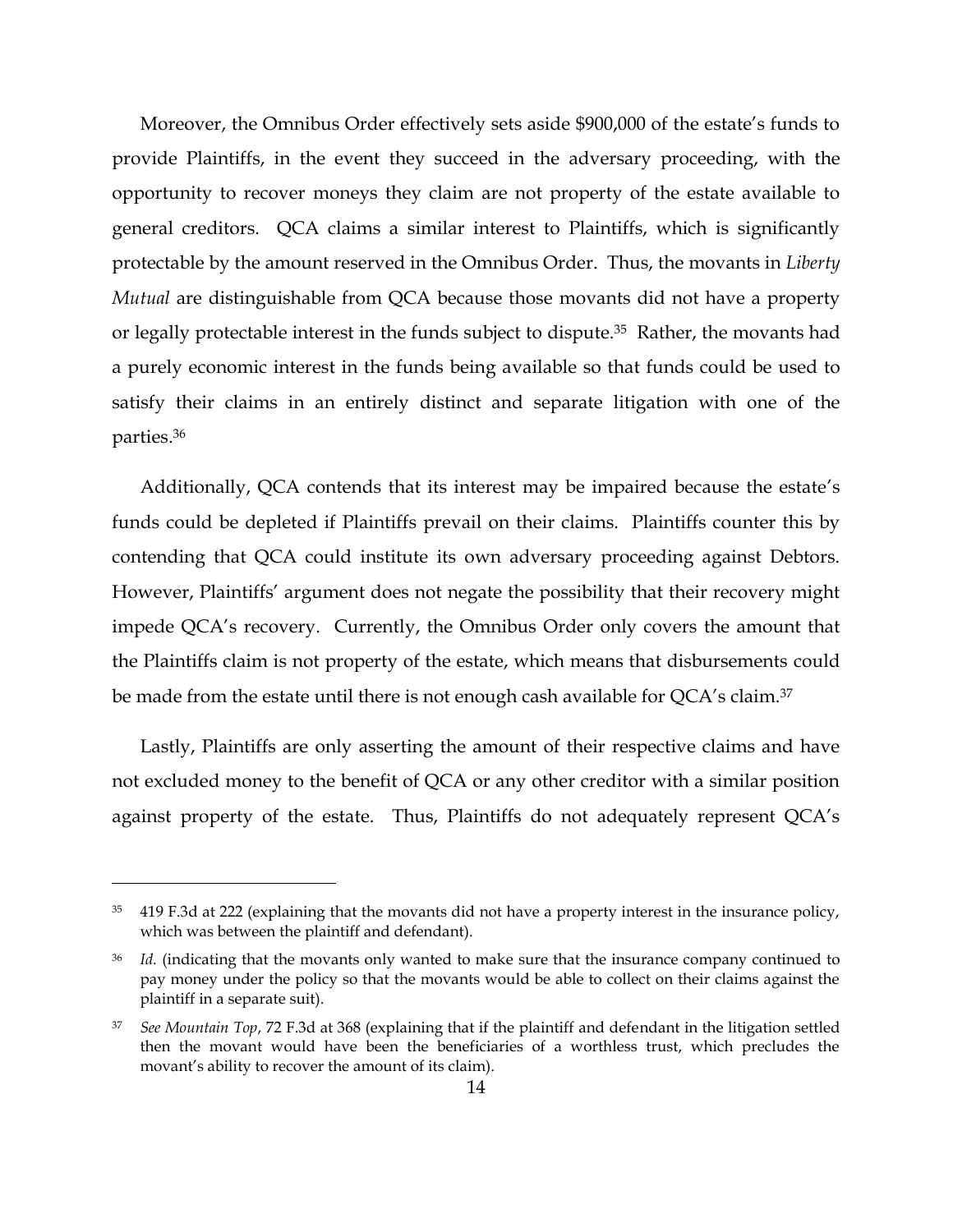Moreover, the Omnibus Order effectively sets aside \$900,000 of the estate's funds to provide Plaintiffs, in the event they succeed in the adversary proceeding, with the opportunity to recover moneys they claim are not property of the estate available to general creditors. QCA claims a similar interest to Plaintiffs, which is significantly protectable by the amount reserved in the Omnibus Order. Thus, the movants in *Liberty Mutual* are distinguishable from QCA because those movants did not have a property or legally protectable interest in the funds subject to dispute.35 Rather, the movants had a purely economic interest in the funds being available so that funds could be used to satisfy their claims in an entirely distinct and separate litigation with one of the parties.<sup>36</sup>

Additionally, QCA contends that its interest may be impaired because the estate's funds could be depleted if Plaintiffs prevail on their claims. Plaintiffs counter this by contending that QCA could institute its own adversary proceeding against Debtors. However, Plaintiffs' argument does not negate the possibility that their recovery might impede QCA's recovery. Currently, the Omnibus Order only covers the amount that the Plaintiffs claim is not property of the estate, which means that disbursements could be made from the estate until there is not enough cash available for QCA's claim.<sup>37</sup>

Lastly, Plaintiffs are only asserting the amount of their respective claims and have not excluded money to the benefit of QCA or any other creditor with a similar position against property of the estate. Thus, Plaintiffs do not adequately represent QCA's

 $35$  419 F.3d at 222 (explaining that the movants did not have a property interest in the insurance policy, which was between the plaintiff and defendant).

<sup>36</sup> *Id.* (indicating that the movants only wanted to make sure that the insurance company continued to pay money under the policy so that the movants would be able to collect on their claims against the plaintiff in a separate suit).

<sup>37</sup> *See Mountain Top*, 72 F.3d at 368 (explaining that if the plaintiff and defendant in the litigation settled then the movant would have been the beneficiaries of a worthless trust, which precludes the movant's ability to recover the amount of its claim).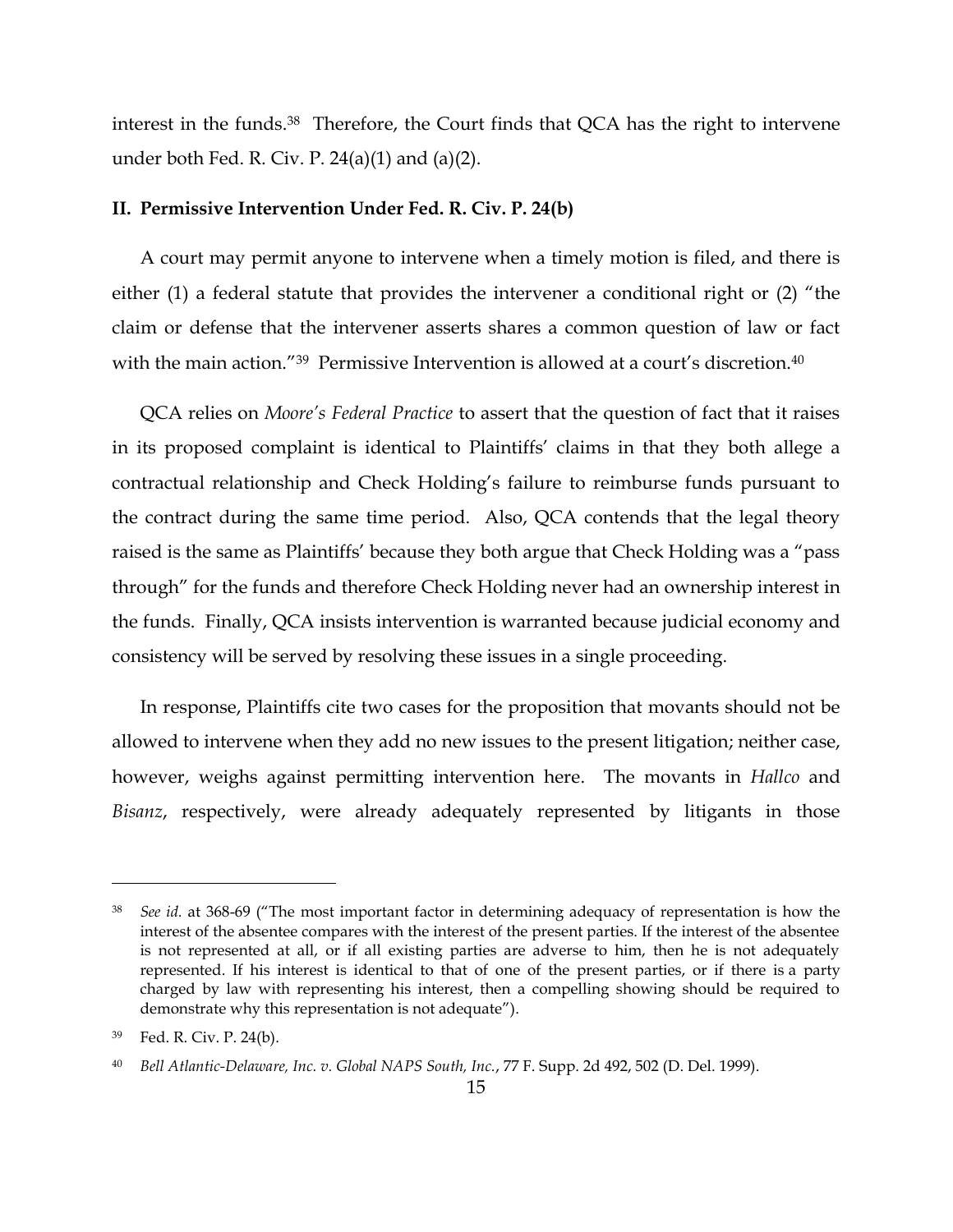interest in the funds.<sup>38</sup> Therefore, the Court finds that QCA has the right to intervene under both Fed. R. Civ. P.  $24(a)(1)$  and  $(a)(2)$ .

#### **II. Permissive Intervention Under Fed. R. Civ. P. 24(b)**

A court may permit anyone to intervene when a timely motion is filed, and there is either (1) a federal statute that provides the intervener a conditional right or (2) "the claim or defense that the intervener asserts shares a common question of law or fact with the main action."<sup>39</sup> Permissive Intervention is allowed at a court's discretion.<sup>40</sup>

QCA relies on *Moore's Federal Practice* to assert that the question of fact that it raises in its proposed complaint is identical to Plaintiffs' claims in that they both allege a contractual relationship and Check Holding's failure to reimburse funds pursuant to the contract during the same time period. Also, QCA contends that the legal theory raised is the same as Plaintiffs' because they both argue that Check Holding was a "pass through" for the funds and therefore Check Holding never had an ownership interest in the funds. Finally, QCA insists intervention is warranted because judicial economy and consistency will be served by resolving these issues in a single proceeding.

In response, Plaintiffs cite two cases for the proposition that movants should not be allowed to intervene when they add no new issues to the present litigation; neither case, however, weighs against permitting intervention here. The movants in *Hallco* and *Bisanz*, respectively, were already adequately represented by litigants in those

<sup>38</sup> *See id.* at 368-69 ("The most important factor in determining adequacy of representation is how the interest of the absentee compares with the interest of the present parties. If the interest of the absentee is not represented at all, or if all existing parties are adverse to him, then he is not adequately represented. If his interest is identical to that of one of the present parties, or if there is a party charged by law with representing his interest, then a compelling showing should be required to demonstrate why this representation is not adequate").

<sup>39</sup> Fed. R. Civ. P. 24(b).

<sup>40</sup> *Bell Atlantic-Delaware, Inc. v. Global NAPS South, Inc.*, 77 F. Supp. 2d 492, 502 (D. Del. 1999).